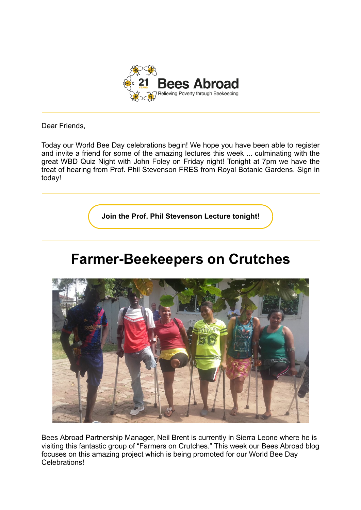

Dear Friends,

Today our World Bee Day celebrations begin! We hope you have been able to register and invite a friend for some of the amazing lectures this week ... culminating with the great WBD Quiz Night with John Foley on Friday night! Tonight at 7pm we have the treat of hearing from Prof. Phil Stevenson FRES from Royal Botanic Gardens. Sign in today!

**[Join the Prof. Phil Stevenson Lecture tonight!](https://www.eventbrite.co.uk/e/world-bee-day-lecture-series-sex-and-drugs-and-ecosystem-services-tickets-309852746907)**

## **Farmer-Beekeepers on Crutches**



Bees Abroad Partnership Manager, Neil Brent is currently in Sierra Leone where he is visiting this fantastic group of "Farmers on Crutches." This week our Bees Abroad blog focuses on this amazing project which is being promoted for our World Bee Day Celebrations!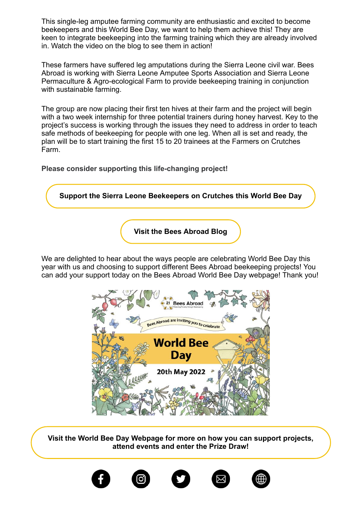This single-leg amputee farming community are enthusiastic and excited to become beekeepers and this World Bee Day, we want to help them achieve this! They are keen to integrate beekeeping into the farming training which they are already involved in. Watch the video on the blog to see them in action!

These farmers have suffered leg amputations during the Sierra Leone civil war. Bees Abroad is working with Sierra Leone Amputee Sports Association and Sierra Leone Permaculture & Agro-ecological Farm to provide beekeeping training in conjunction with sustainable farming.

The group are now placing their first ten hives at their farm and the project will begin with a two week internship for three potential trainers during honey harvest. Key to the project's success is working through the issues they need to address in order to teach safe methods of beekeeping for people with one leg. When all is set and ready, the plan will be to start training the first 15 to 20 trainees at the Farmers on Crutches Farm.

**Please consider supporting this life-changing project!**

**[Support the Sierra Leone Beekeepers on Crutches this World Bee Day](https://beesabroad.org.uk/bee-farmers-on-crutches/#support) [Visit the Bees Abroad Blog](https://beesabroad.org.uk/celebrate-world-bee-day-sponsor-a-beekeeping-project-in-sierra-leone/)**

We are delighted to hear about the ways people are celebrating World Bee Day this year with us and choosing to support different Bees Abroad beekeeping projects! You can add your support today on the Bees Abroad World Bee Day webpage! Thank you!



**[Visit the World Bee Day Webpage for more on how you can support projects,](https://beesabroad.org.uk/worldbeeday) attend events and enter the Prize Draw!**